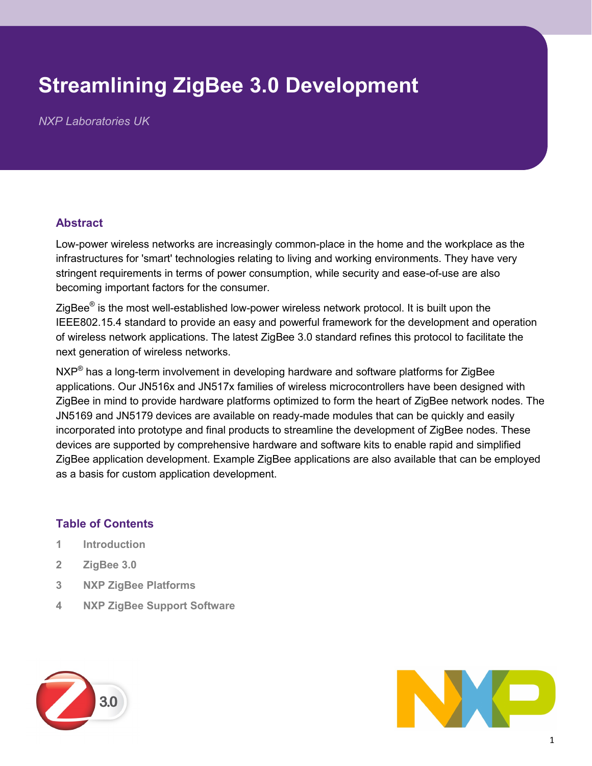# **Streamlining ZigBee 3.0 Development**

*NXP Laboratories UK*

#### **Abstract**

Low-power wireless networks are increasingly common-place in the home and the workplace as the infrastructures for 'smart' technologies relating to living and working environments. They have very stringent requirements in terms of power consumption, while security and ease-of-use are also becoming important factors for the consumer.

ZigBee $^{\circledR}$  is the most well-established low-power wireless network protocol. It is built upon the IEEE802.15.4 standard to provide an easy and powerful framework for the development and operation of wireless network applications. The latest ZigBee 3.0 standard refines this protocol to facilitate the next generation of wireless networks.

 $\mathsf{NXP}^{\circledast}$  has a long-term involvement in developing hardware and software platforms for ZigBee applications. Our JN516x and JN517x families of wireless microcontrollers have been designed with ZigBee in mind to provide hardware platforms optimized to form the heart of ZigBee network nodes. The JN5169 and JN5179 devices are available on ready-made modules that can be quickly and easily incorporated into prototype and final products to streamline the development of ZigBee nodes. These devices are supported by comprehensive hardware and software kits to enable rapid and simplified ZigBee application development. Example ZigBee applications are also available that can be employed as a basis for custom application development.

## **Table of Contents**

- **1 Introduction**
- **2 ZigBee 3.0**
- **3 NXP ZigBee Platforms**
- **4 NXP ZigBee Support Software**



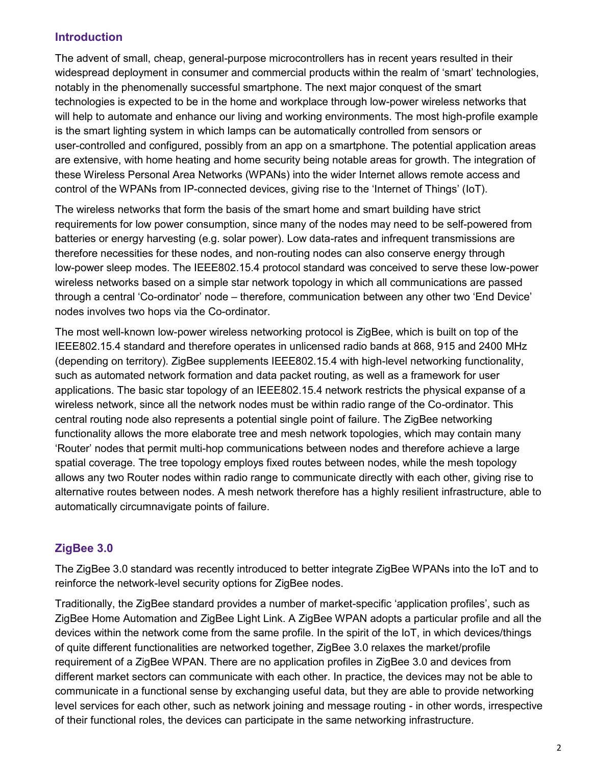#### **Introduction**

The advent of small, cheap, general-purpose microcontrollers has in recent years resulted in their widespread deployment in consumer and commercial products within the realm of 'smart' technologies, notably in the phenomenally successful smartphone. The next major conquest of the smart technologies is expected to be in the home and workplace through low-power wireless networks that will help to automate and enhance our living and working environments. The most high-profile example is the smart lighting system in which lamps can be automatically controlled from sensors or user-controlled and configured, possibly from an app on a smartphone. The potential application areas are extensive, with home heating and home security being notable areas for growth. The integration of these Wireless Personal Area Networks (WPANs) into the wider Internet allows remote access and control of the WPANs from IP-connected devices, giving rise to the 'Internet of Things' (IoT).

The wireless networks that form the basis of the smart home and smart building have strict requirements for low power consumption, since many of the nodes may need to be self-powered from batteries or energy harvesting (e.g. solar power). Low data-rates and infrequent transmissions are therefore necessities for these nodes, and non-routing nodes can also conserve energy through low-power sleep modes. The IEEE802.15.4 protocol standard was conceived to serve these low-power wireless networks based on a simple star network topology in which all communications are passed through a central 'Co-ordinator' node – therefore, communication between any other two 'End Device' nodes involves two hops via the Co-ordinator.

The most well-known low-power wireless networking protocol is ZigBee, which is built on top of the IEEE802.15.4 standard and therefore operates in unlicensed radio bands at 868, 915 and 2400 MHz (depending on territory). ZigBee supplements IEEE802.15.4 with high-level networking functionality, such as automated network formation and data packet routing, as well as a framework for user applications. The basic star topology of an IEEE802.15.4 network restricts the physical expanse of a wireless network, since all the network nodes must be within radio range of the Co-ordinator. This central routing node also represents a potential single point of failure. The ZigBee networking functionality allows the more elaborate tree and mesh network topologies, which may contain many 'Router' nodes that permit multi-hop communications between nodes and therefore achieve a large spatial coverage. The tree topology employs fixed routes between nodes, while the mesh topology allows any two Router nodes within radio range to communicate directly with each other, giving rise to alternative routes between nodes. A mesh network therefore has a highly resilient infrastructure, able to automatically circumnavigate points of failure.

## **ZigBee 3.0**

The ZigBee 3.0 standard was recently introduced to better integrate ZigBee WPANs into the IoT and to reinforce the network-level security options for ZigBee nodes.

Traditionally, the ZigBee standard provides a number of market-specific 'application profiles', such as ZigBee Home Automation and ZigBee Light Link. A ZigBee WPAN adopts a particular profile and all the devices within the network come from the same profile. In the spirit of the IoT, in which devices/things of quite different functionalities are networked together, ZigBee 3.0 relaxes the market/profile requirement of a ZigBee WPAN. There are no application profiles in ZigBee 3.0 and devices from different market sectors can communicate with each other. In practice, the devices may not be able to communicate in a functional sense by exchanging useful data, but they are able to provide networking level services for each other, such as network joining and message routing - in other words, irrespective of their functional roles, the devices can participate in the same networking infrastructure.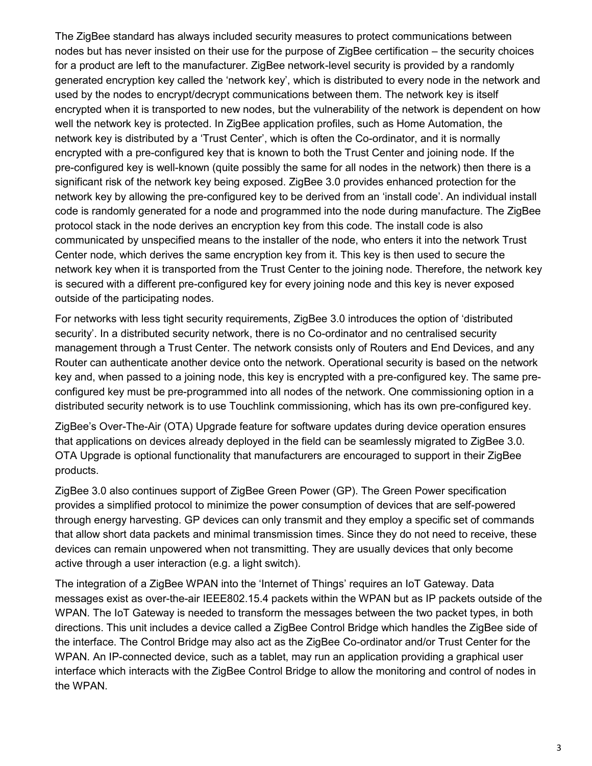The ZigBee standard has always included security measures to protect communications between nodes but has never insisted on their use for the purpose of ZigBee certification – the security choices for a product are left to the manufacturer. ZigBee network-level security is provided by a randomly generated encryption key called the 'network key', which is distributed to every node in the network and used by the nodes to encrypt/decrypt communications between them. The network key is itself encrypted when it is transported to new nodes, but the vulnerability of the network is dependent on how well the network key is protected. In ZigBee application profiles, such as Home Automation, the network key is distributed by a 'Trust Center', which is often the Co-ordinator, and it is normally encrypted with a pre-configured key that is known to both the Trust Center and joining node. If the pre-configured key is well-known (quite possibly the same for all nodes in the network) then there is a significant risk of the network key being exposed. ZigBee 3.0 provides enhanced protection for the network key by allowing the pre-configured key to be derived from an 'install code'. An individual install code is randomly generated for a node and programmed into the node during manufacture. The ZigBee protocol stack in the node derives an encryption key from this code. The install code is also communicated by unspecified means to the installer of the node, who enters it into the network Trust Center node, which derives the same encryption key from it. This key is then used to secure the network key when it is transported from the Trust Center to the joining node. Therefore, the network key is secured with a different pre-configured key for every joining node and this key is never exposed outside of the participating nodes.

For networks with less tight security requirements, ZigBee 3.0 introduces the option of 'distributed security'. In a distributed security network, there is no Co-ordinator and no centralised security management through a Trust Center. The network consists only of Routers and End Devices, and any Router can authenticate another device onto the network. Operational security is based on the network key and, when passed to a joining node, this key is encrypted with a pre-configured key. The same preconfigured key must be pre-programmed into all nodes of the network. One commissioning option in a distributed security network is to use Touchlink commissioning, which has its own pre-configured key.

ZigBee's Over-The-Air (OTA) Upgrade feature for software updates during device operation ensures that applications on devices already deployed in the field can be seamlessly migrated to ZigBee 3.0. OTA Upgrade is optional functionality that manufacturers are encouraged to support in their ZigBee products.

ZigBee 3.0 also continues support of ZigBee Green Power (GP). The Green Power specification provides a simplified protocol to minimize the power consumption of devices that are self-powered through energy harvesting. GP devices can only transmit and they employ a specific set of commands that allow short data packets and minimal transmission times. Since they do not need to receive, these devices can remain unpowered when not transmitting. They are usually devices that only become active through a user interaction (e.g. a light switch).

The integration of a ZigBee WPAN into the 'Internet of Things' requires an IoT Gateway. Data messages exist as over-the-air IEEE802.15.4 packets within the WPAN but as IP packets outside of the WPAN. The IoT Gateway is needed to transform the messages between the two packet types, in both directions. This unit includes a device called a ZigBee Control Bridge which handles the ZigBee side of the interface. The Control Bridge may also act as the ZigBee Co-ordinator and/or Trust Center for the WPAN. An IP-connected device, such as a tablet, may run an application providing a graphical user interface which interacts with the ZigBee Control Bridge to allow the monitoring and control of nodes in the WPAN.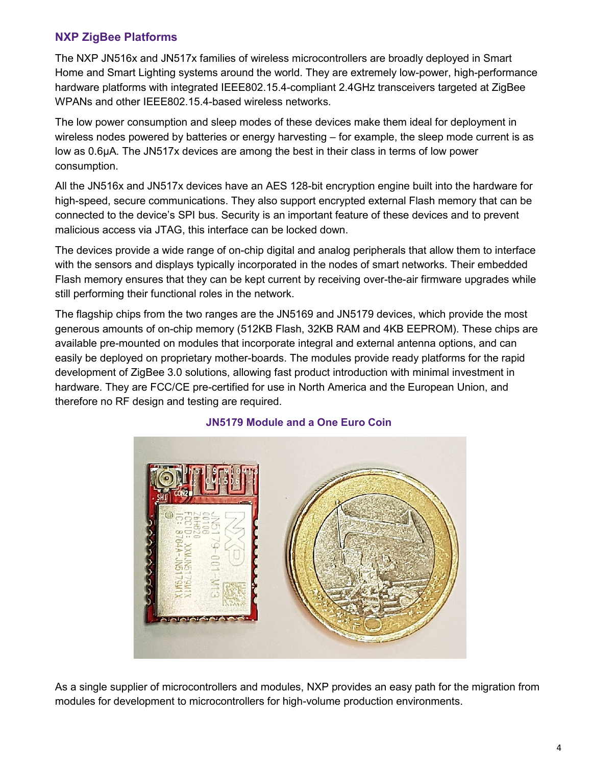# **NXP ZigBee Platforms**

The NXP JN516x and JN517x families of wireless microcontrollers are broadly deployed in Smart Home and Smart Lighting systems around the world. They are extremely low-power, high-performance hardware platforms with integrated IEEE802.15.4-compliant 2.4GHz transceivers targeted at ZigBee WPANs and other IEEE802.15.4-based wireless networks.

The low power consumption and sleep modes of these devices make them ideal for deployment in wireless nodes powered by batteries or energy harvesting – for example, the sleep mode current is as low as 0.6µA. The JN517x devices are among the best in their class in terms of low power consumption.

All the JN516x and JN517x devices have an AES 128-bit encryption engine built into the hardware for high-speed, secure communications. They also support encrypted external Flash memory that can be connected to the device's SPI bus. Security is an important feature of these devices and to prevent malicious access via JTAG, this interface can be locked down.

The devices provide a wide range of on-chip digital and analog peripherals that allow them to interface with the sensors and displays typically incorporated in the nodes of smart networks. Their embedded Flash memory ensures that they can be kept current by receiving over-the-air firmware upgrades while still performing their functional roles in the network.

The flagship chips from the two ranges are the JN5169 and JN5179 devices, which provide the most generous amounts of on-chip memory (512KB Flash, 32KB RAM and 4KB EEPROM). These chips are available pre-mounted on modules that incorporate integral and external antenna options, and can easily be deployed on proprietary mother-boards. The modules provide ready platforms for the rapid development of ZigBee 3.0 solutions, allowing fast product introduction with minimal investment in hardware. They are FCC/CE pre-certified for use in North America and the European Union, and therefore no RF design and testing are required.



#### **JN5179 Module and a One Euro Coin**

As a single supplier of microcontrollers and modules, NXP provides an easy path for the migration from modules for development to microcontrollers for high-volume production environments.